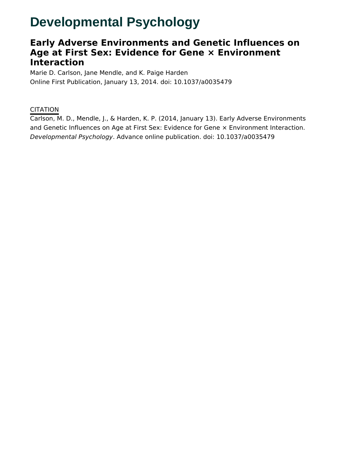# **Developmental Psychology**

## **Early Adverse Environments and Genetic Influences on Age at First Sex: Evidence for Gene × Environment Interaction**

Marie D. Carlson, Jane Mendle, and K. Paige Harden Online First Publication, January 13, 2014. doi: 10.1037/a0035479

### **CITATION**

Carlson, M. D., Mendle, J., & Harden, K. P. (2014, January 13). Early Adverse Environments and Genetic Influences on Age at First Sex: Evidence for Gene x Environment Interaction. Developmental Psychology. Advance online publication. doi: 10.1037/a0035479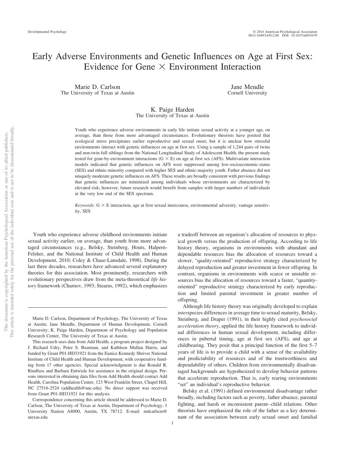### Early Adverse Environments and Genetic Influences on Age at First Sex: Evidence for Gene  $\times$  Environment Interaction

Marie D. Carlson The University of Texas at Austin

Jane Mendle Cornell University

#### K. Paige Harden The University of Texas at Austin

Youth who experience adverse environments in early life initiate sexual activity at a younger age, on average, than those from more advantaged circumstances. Evolutionary theorists have posited that ecological stress precipitates earlier reproductive and sexual onset, but it is unclear how stressful environments interact with genetic influences on age at first sex. Using a sample of 1,244 pairs of twins and non-twin full siblings from the National Longitudinal Study of Adolescent Health, the present study tested for gene-by-environment interactions  $(G \times E)$  on age at first sex (AFS). Multivariate interaction models indicated that genetic influences on AFS were suppressed among low-socioeconomic-status (SES) and ethnic-minority compared with higher SES and ethnic-majority youth. Father absence did not uniquely moderate genetic influences on AFS. These results are broadly consistent with previous findings that genetic influences are minimized among individuals whose environments are characterized by elevated risk; however, future research would benefit from samples with larger numbers of individuals at the very low end of the SES spectrum.

*Keywords:*  $G \times E$  interaction, age at first sexual intercourse, environmental adversity, vantage sensitivity, SES

Youth who experience adverse childhood environments initiate sexual activity earlier, on average, than youth from more advantaged circumstances (e.g., Belsky, Steinberg, Houts, Halpern-Felsher, and the National Institute of Child Health and Human Development, 2010; Coley & Chase-Lansdale, 1998). During the last three decades, researchers have advanced several explanatory theories for this association. Most prominently, researchers with evolutionary perspectives draw from the meta-theoretical *life history* framework (Charnov, 1993; Stearns, 1992), which emphasizes

Marie D. Carlson, Department of Psychology, The University of Texas at Austin; Jane Mendle, Department of Human Development, Cornell University; K. Paige Harden, Department of Psychology and Population Research Center, The University of Texas at Austin.

This research uses data from Add Health, a program project designed by J. Richard Udry, Peter S. Bearman, and Kathleen Mullan Harris, and funded by Grant P01-HD31921 from the Eunice Kennedy Shriver National Institute of Child Health and Human Development, with cooperative funding from 17 other agencies. Special acknowledgment is due Ronald R. Rindfuss and Barbara Entwisle for assistance in the original design. Persons interested in obtaining data files from Add Health should contact Add Health, Carolina Population Center, 123 West Franklin Street, Chapel Hill, NC 27516-2524 (addhealth@unc.edu). No direct support was received from Grant P01-HD31921 for this analysis.

Correspondence concerning this article should be addressed to Marie D. Carlson, The University of Texas at Austin, Department of Psychology, 1 University Station A8000, Austin, TX 78712. E-mail: mdcarlson@ utexas.edu

a tradeoff between an organism's allocation of resources to physical growth versus the production of offspring. According to life history theory, organisms in environments with abundant and dependable resources bias the allocation of resources toward a slower, "quality-oriented" reproductive strategy characterized by delayed reproduction and greater investment in fewer offspring. In contrast, organisms in environments with scarce or unstable resources bias the allocation of resources toward a faster, "quantityoriented" reproductive strategy characterized by early reproduction and limited parental investment in greater number of offspring.

Although life history theory was originally developed to explain *inter*species differences in average time to sexual maturity, Belsky, Steinberg, and Draper (1991), in their highly cited *psychosocial acceleration theory*, applied the life history framework to individual differences in human sexual development, including differences in pubertal timing, age at first sex (AFS), and age at childbearing. They posit that a principal function of the first 5–7 years of life is to provide a child with a sense of the availability and predictability of resources and of the trustworthiness and dependability of others. Children from environmentally disadvantaged backgrounds are hypothesized to develop behavior patterns that accelerate reproduction. That is, early rearing environments "set" an individual's reproductive behavior.

Belsky et al. (1991) defined environmental disadvantage rather broadly, including factors such as poverty, father absence, parental fighting, and harsh or inconsistent parent– child relations. Other theorists have emphasized the role of the father as a key determinant of the association between early sexual onset and familial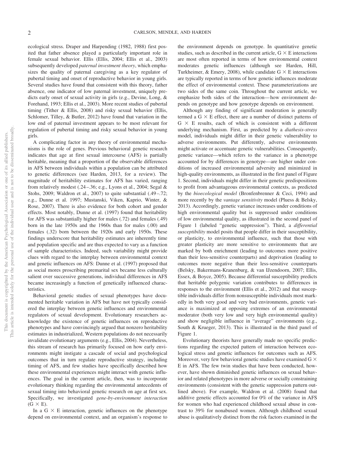ecological stress. Draper and Harpending (1982, 1988) first posited that father absence played a particularly important role in female sexual behavior. Ellis (Ellis, 2004; Ellis et al., 2003) subsequently developed *paternal investment theory*, which emphasizes the quality of paternal caregiving as a key regulator of pubertal timing and onset of reproductive behavior in young girls. Several studies have found that consistent with this theory, father absence, one indicator of low paternal investment, uniquely predicts early onset of sexual activity in girls (e.g., Devine, Long, & Forehand, 1993; Ellis et al., 2003). More recent studies of pubertal timing (Tither & Ellis, 2008) and risky sexual behavior (Ellis, Schlomer, Tilley, & Butler, 2012) have found that variation in the low end of paternal investment appears to be most relevant for regulation of pubertal timing and risky sexual behavior in young girls.

A complicating factor in any theory of environmental mechanisms is the role of genes. Previous behavioral genetic research indicates that age at first sexual intercourse (AFS) is partially heritable, meaning that a proportion of the observable differences in AFS between individuals within a population can be attributed to genetic differences (see Harden, 2013, for a review). The magnitude of heritability estimates for AFS has varied, ranging from relatively modest  $(.24-.36; e.g., Lyons et al., 2004; Segal &$ Stohs, 2009; Waldron et al., 2007) to quite substantial (.49 –.72; e.g., Dunne et al. 1997; Mustanski, Viken, Kaprio, Winter, & Rose, 2007). There is also evidence for both cohort and gender effects. Most notably, Dunne et al. (1997) found that heritability for AFS was substantially higher for males (.72) and females (.49) born in the late 1950s and the 1960s than for males (.00) and females (.32) born between the 1920s and early 1950s. These findings underscore that heritability estimates are inherently time and population specific and are thus expected to vary as a function of sample characteristics. Indeed, such variability might provide clues with regard to the interplay between environmental context and genetic influences on AFS: Dunne et al. (1997) proposed that as social mores proscribing premarital sex became less culturally salient over successive generations, individual differences in AFS became increasingly a function of genetically influenced characteristics.

Behavioral genetic studies of sexual phenotypes have documented heritable variation in AFS but have not typically considered the interplay between genetic influences and environmental regulators of sexual development. Evolutionary researchers acknowledge the existence of genetic influences on reproductive phenotypes and have convincingly argued that nonzero heritability estimates in industrialized, Western populations do not necessarily invalidate evolutionary arguments (e.g., Ellis, 2004). Nevertheless, this stream of research has primarily focused on how early environments might instigate a cascade of social and psychological outcomes that in turn regulate reproductive strategy, including timing of AFS, and few studies have specifically described how these environmental experiences might interact with genetic influences. The goal in the current article, then, was to incorporate evolutionary thinking regarding the environmental antecedents of sexual timing into behavioral genetic research on age at first sex. Specifically, we investigated *gene-by-environment interaction*  $(G \times E)$ .

In a  $G \times E$  interaction, genetic influences on the phenotype depend on environmental context, and an organism's response to the environment depends on genotype. In quantitative genetic studies, such as described in the current article,  $G \times E$  interactions are most often reported in terms of how environmental context moderates genetic influences (although see Harden, Hill, Turkheimer, & Emery, 2008), while candidate  $G \times E$  interactions are typically reported in terms of how genetic influences moderate the effect of environmental context. These parameterizations are two sides of the same coin. Throughout the current article, we emphasize both sides of the interaction— how environment depends on genotype and how genotype depends on environment.

Although any finding of significant moderation is generally termed a  $G \times E$  effect, there are a number of distinct patterns of  $G \times E$  results, each of which is consistent with a different underlying mechanism. First, as predicted by a *diathesis-stress* model, individuals might differ in their genetic vulnerability to adverse environments. Put differently, adverse environments might activate or accentuate genetic vulnerabilities. Consequently, genetic variance—which refers to the variance in a phenotype accounted for by differences in genotype—are higher under conditions of increased environmental adversity and minimized in high-quality environments, as illustrated in the first panel of Figure 1. Second, individuals might differ in their genetic predispositions to profit from advantageous environmental contexts, as predicted by the *bioecological model* (Bronfenbrenner & Ceci, 1994) and more recently by the *vantage sensitivity* model (Pluess & Belsky, 2013). Accordingly, genetic variance increases under conditions of high environmental quality but is suppressed under conditions of low environmental quality, as illustrated in the second panel of Figure 1 (labeled "genetic suppression"). Third, a *differential susceptibility* model posits that people differ in their susceptibility, or plasticity, to environmental influence, such that those with greater plasticity are more sensitive to environments that are marked by both enrichment (leading to outcomes more positive than their less-sensitive counterparts) and deprivation (leading to outcomes more negative than their less-sensitive counterparts (Belsky, Bakermans-Kranenburg, & van IJzendoorn, 2007; Ellis, Essex, & Boyce, 2005). Because differential susceptibility predicts that heritable polygenic variation contributes to differences in responses to the environment (Ellis et al., 2012) and that susceptible individuals differ from nonsusceptible individuals most markedly in both very good and very bad environments, genetic variance is maximized at opposing extremes of an environmental moderator (both very low and very high environmental quality) and show negligible influence in "average" environments (e.g., South & Krueger, 2013). This is illustrated in the third panel of Figure 1.

Evolutionary theorists have generally made no specific predictions regarding the expected pattern of interaction between ecological stress and genetic influences for outcomes such as AFS. Moreover, very few behavioral genetic studies have examined  $G \times$ E in AFS. The few twin studies that have been conducted, however, have shown diminished genetic influences on sexual behavior and related phenotypes in more adverse or socially constraining environments (consistent with the genetic suppression pattern outlined above). For example, Waldron et al. (2008) found that additive genetic effects accounted for 0% of the variance in AFS for women who had experienced childhood sexual abuse in contrast to 39% for nonabused women. Although childhood sexual abuse is qualitatively distinct from the risk factors examined in the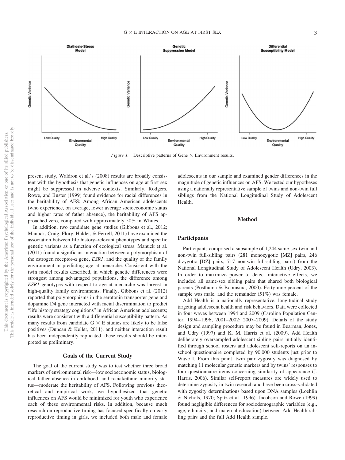**Diathesis-Stress Differential** Genetic Model **Suppression Model Susceptibility Model** Genetic Variance Genetic Variance Genetic Variance Low Quality High Qu Low Quality **High Quality** Low Quality **High Quali** Environmenta Environmenta Environmental Quality Quality Quality

*Figure 1.* Descriptive patterns of Gene  $\times$  Environment results.

present study, Waldron et al.'s (2008) results are broadly consistent with the hypothesis that genetic influences on age at first sex might be suppressed in adverse contexts. Similarly, Rodgers, Rowe, and Buster (1999) found evidence for racial differences in the heritability of AFS: Among African American adolescents (who experience, on average, lower average socioeconomic status and higher rates of father absence), the heritability of AFS approached zero, compared with approximately 50% in Whites.

In addition, two candidate gene studies (Gibbons et al., 2012; Manuck, Craig, Flory, Halder, & Ferrell, 2011) have examined the association between life history–relevant phenotypes and specific genetic variants as a function of ecological stress. Manuck et al. (2011) found a significant interaction between a polymorphism of the estrogen receptor- $\alpha$  gene, *ESR1*, and the quality of the family environment in predicting age at menarche. Consistent with the twin model results described, in which genetic differences were strongest among advantaged populations, the difference among *ESR1* genotypes with respect to age at menarche was largest in high-quality family environments. Finally, Gibbons et al. (2012) reported that polymorphisms in the serotonin transporter gene and dopamine D4 gene interacted with racial discrimination to predict "life history strategy cognitions" in African American adolescents; results were consistent with a differential susceptibility pattern. As many results from candidate  $G \times E$  studies are likely to be false positives (Duncan & Keller, 2011), and neither interaction result has been independently replicated, these results should be interpreted as preliminary.

#### **Goals of the Current Study**

The goal of the current study was to test whether three broad markers of environmental risk—low socioeconomic status, biological father absence in childhood, and racial/ethnic minority status—moderate the heritability of AFS. Following previous theoretical and empirical work, we hypothesized that genetic influences on AFS would be minimized for youth who experience each of these environmental risks. In addition, because much research on reproductive timing has focused specifically on early reproductive timing in girls, we included both male and female

adolescents in our sample and examined gender differences in the magnitude of genetic influences on AFS. We tested our hypotheses using a nationally representative sample of twins and non-twin full siblings from the National Longitudinal Study of Adolescent Health.

#### **Method**

#### **Participants**

Participants comprised a subsample of 1,244 same-sex twin and non-twin full-sibling pairs (281 monozygotic [MZ] pairs, 246 dizygotic [DZ] pairs, 717 nontwin full-sibling pairs) from the National Longitudinal Study of Adolescent Health (Udry, 2003). In order to maximize power to detect interactive effects, we included all same-sex sibling pairs that shared both biological parents (Posthuma & Boomsma, 2000). Forty-nine percent of the sample was male, and the remainder (51%) was female.

Add Health is a nationally representative, longitudinal study targeting adolescent health and risk behaviors. Data were collected in four waves between 1994 and 2009 (Carolina Population Center, 1994 –1996; 2001–2002; 2007–2009). Details of the study design and sampling procedure may be found in Bearman, Jones, and Udry (1997) and K. M. Harris et al. (2009). Add Health deliberately oversampled adolescent sibling pairs initially identified through school rosters and adolescent self-reports on an inschool questionnaire completed by 90,000 students just prior to Wave I. From this point, twin pair zygosity was diagnosed by matching 11 molecular genetic markers and by twins' responses to four questionnaire items concerning similarity of appearance (J. Harris, 2006). Similar self-report measures are widely used to determine zygosity in twin research and have been cross-validated with zygosity determinations based upon DNA samples (Loehlin & Nichols, 1970; Spitz et al., 1996). Jacobson and Rowe (1999) found negligible differences for sociodemographic variables (e.g., age, ethnicity, and maternal education) between Add Health sibling pairs and the full Add Health sample.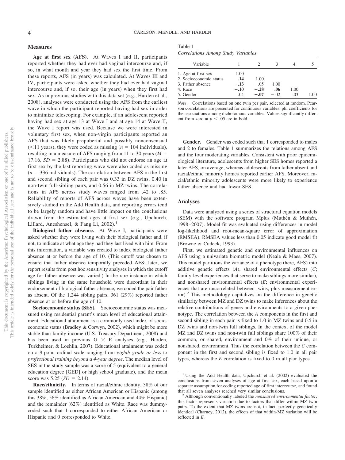#### **Measures**

**Age at first sex (AFS).** At Waves I and II, participants reported whether they had ever had vaginal intercourse and, if so, in what month and year they had sex the first time. From these reports, AFS (in years) was calculated. At Waves III and IV, participants were asked whether they had ever had vaginal intercourse and, if so, their age (in years) when they first had sex. As in previous studies with this data set (e.g., Harden et al., 2008), analyses were conducted using the AFS from the earliest wave in which the participant reported having had sex in order to minimize telescoping. For example, if an adolescent reported having had sex at age 13 at Wave I and at age 14 at Wave II, the Wave I report was used. Because we were interested in voluntary first sex, when non-virgin participants reported an AFS that was likely prepubertal and possibly nonconsensual  $(< 11$  years), they were coded as missing ( $n = 104$  individuals), resulting in a measure of AFS ranging from 11 to 30 years (*M* 17.16,  $SD = 2.88$ ). Participants who did not endorse an age at first sex by the last reporting wave were also coded as missing  $(n = 336$  individuals). The correlation between AFS in the first and second sibling of each pair was 0.33 in DZ twins, 0.40 in non-twin full-sibling pairs, and 0.56 in MZ twins. The correlations in AFS across study waves ranged from .42 to .85. Reliability of reports of AFS across waves have been extensively studied in the Add Health data, and reporting errors tend to be largely random and have little impact on the conclusions drawn from the estimated ages at first sex (e.g., Upchurch, Lillard, Aneshensel, & Fang Li,  $2002$ ).<sup>1</sup>

**Biological father absence.** At Wave I, participants were asked whether they were living with their biological father and, if not, to indicate at what age they had they last lived with him. From this information, a variable was created to index biological father absence at or before the age of 10. (This cutoff was chosen to ensure that father absence temporally preceded AFS; later, we report results from post hoc sensitivity analyses in which the cutoff age for father absence was varied.) In the rare instance in which siblings living in the same household were discordant in their endorsement of biological father absence, we coded the pair father as absent. Of the 1,244 sibling pairs, 361 (29%) reported father absence at or before the age of 10.

**Socioeconomic status (SES).** Socioeconomic status was measured using residential parent's mean level of educational attainment. Educational attainment is a commonly used index of socioeconomic status (Bradley & Corwyn, 2002), which might be more stable than family income (U.S. Treasury Department, 2008) and has been used in previous  $G \times E$  analyses (e.g., Harden, Turkheimer, & Loehlin, 2007). Educational attainment was coded on a 9-point ordinal scale ranging from *eighth grade or less* to *professional training beyond a 4-year degree*. The median level of SES in the study sample was a score of 5 (equivalent to a general education degree [GED] or high school graduate), and the mean score was  $5.25$  (*SD* = 2.14).

**Race/ethnicity.** In terms of racial/ethnic identity, 38% of our sample identified as either African American or Hispanic (among this 38%, 56% identified as African American and 44% Hispanic) and the remainder (62%) identified as White. Race was dummycoded such that 1 corresponded to either African American or Hispanic and 0 corresponded to White.

| Table 1                            |  |  |
|------------------------------------|--|--|
| Correlations Among Study Variables |  |  |

| Variable                                                                                    |                                        |                                    |                       |             |      |
|---------------------------------------------------------------------------------------------|----------------------------------------|------------------------------------|-----------------------|-------------|------|
| 1. Age at first sex<br>2. Socioeconomic status<br>3. Father absence<br>4. Race<br>5. Gender | 1.00<br>.14<br>$-.13$<br>$-.10$<br>.04 | 1.00<br>$-.05$<br>$-.28$<br>$-.07$ | 1.00<br>.06<br>$-.02$ | 1.00<br>.03 | 1.00 |
|                                                                                             |                                        |                                    |                       |             |      |

*Note*. Correlations based on one twin per pair, selected at random. Pearson correlations are presented for continuous variables; phi coefficients for the associations among dichotomous variables. Values significantly different from zero at  $p < .05$  are in bold.

**Gender.** Gender was coded such that 1 corresponded to males and 2 to females. Table 1 summarizes the relations among AFS and the four moderating variables. Consistent with prior epidemiological literature, adolescents from higher SES homes reported a later AFS, on average, whereas adolescents from father absent and racial/ethnic minority homes reported earlier AFS. Moreover, racial/ethnic minority adolescents were more likely to experience father absence and had lower SES.

#### **Analyses**

Data were analyzed using a series of structural equation models (SEM) with the software program Mplus (Muthén & Muthén, 1998 –2007). Model fit was evaluated using differences in model log-likelihood and root-mean-square error of approximation (RMSEA). RMSEA values less than 0.05 indicate good model fit (Browne & Cudeck, 1993).

First, we estimated genetic and environmental influences on AFS using a univariate biometric model (Neale & Maes, 2007). This model partitions the variance of a phenotype (here, AFS) into additive genetic effects (*A*), shared environmental effects (*C*; family-level experiences that serve to make siblings more similar), and nonshared environmental effects (*E*; environmental experiences that are uncorrelated between twins, plus measurement error).<sup>2</sup> This methodology capitalizes on the difference in genetic similarity between MZ and DZ twins to make inferences about the relative contributions of genes and environments to a given phenotype. The correlation between the *A* components in the first and second sibling in each pair is fixed to 1.0 in MZ twins and 0.5 in DZ twins and non-twin full siblings. In the context of the model MZ and DZ twins and non-twin full siblings share 100% of their common, or shared, environment and 0% of their unique, or nonshared, environment. Thus the correlation between the *C* component in the first and second sibling is fixed to 1.0 in all pair types, whereas the *E* correlation is fixed to 0 in all pair types.

<sup>&</sup>lt;sup>1</sup> Using the Add Health data, Upchurch et al. (2002) evaluated the conclusions from seven analyses of age at first sex, each based upon a separate assumption for coding reported age of first intercourse, and found that all seven analyses reached very similar conclusions. <sup>2</sup> Although conventionally labeled the *nonshared environmental factor*,

this factor represents variation due to factors that differ within MZ twin pairs. To the extent that MZ twins are not, in fact, perfectly genetically identical (Charney, 2012), the effects of that within-MZ variation will be reflected in *E*.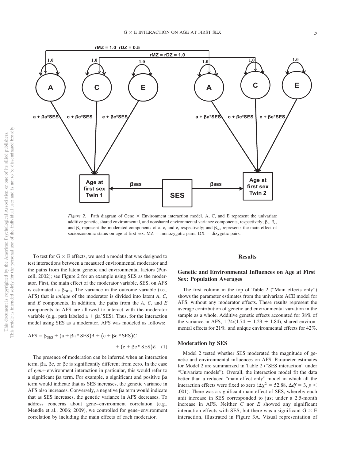

*Figure 2.* Path diagram of Gene  $\times$  Environment interaction model. A, C, and E represent the univariate additive genetic, shared environmental, and nonshared environmental variance components, respectively;  $\beta_a$ ,  $\beta_c$ , and  $\beta$ , represent the moderated components of a, c, and e, respectively; and  $\beta_{\rm ses}$  represents the main effect of socioeconomic status on age at first sex.  $MZ = \text{monozygotic pairs}$ ,  $DX = \text{disygotic pairs}$ .

To test for  $G \times E$  effects, we used a model that was designed to test interactions between a measured environmental moderator and the paths from the latent genetic and environmental factors (Purcell, 2002); see Figure 2 for an example using SES as the moderator. First, the main effect of the moderator variable, SES, on AFS is estimated as  $\beta_{\text{SES}}$ . The variance in the outcome variable (i.e., AFS) that is *unique* of the moderator is divided into latent *A*, *C*, and *E* components. In addition, the paths from the *A*, *C*, and *E* components to AFS are allowed to interact with the moderator variable (e.g., path labeled  $a + \beta a^*$ SES). Thus, for the interaction model using SES as a moderator, AFS was modeled as follows:

$$
AFS = \beta_{SES} + (a + \beta a * SES)A + (c + \beta c * SES)C + (e + \beta e * SES)E \quad (1)
$$

The presence of moderation can be inferred when an interaction term,  $\beta a$ ,  $\beta c$ , or  $\beta e$  is significantly different from zero. In the case of *gene*– environment interaction in particular, this would refer to a significant  $\beta$ a term. For example, a significant and positive  $\beta$ a term would indicate that as SES increases, the genetic variance in  $AFS$  also increases. Conversely, a negative  $\beta$ a term would indicate that as SES increases, the genetic variance in AFS decreases. To address concerns about gene– environment correlation (e.g., Mendle et al., 2006; 2009), we controlled for gene– environment correlation by including the main effects of each moderator.

#### **Results**

#### **Genetic and Environmental Influences on Age at First Sex: Population Averages**

The first column in the top of Table 2 ("Main effects only") shows the parameter estimates from the univariate ACE model for AFS, without any moderator effects. These results represent the average contribution of genetic and environmental variation in the sample as a whole. Additive genetic effects accounted for 38% of the variance in AFS,  $1.74/(1.74 + 1.29 + 1.84)$ , shared environmental effects for 21%, and unique environmental effects for 42%.

#### **Moderation by SES**

Model 2 tested whether SES moderated the magnitude of genetic and environmental influences on AFS. Parameter estimates for Model 2 are summarized in Table 2 ("SES interaction" under "Univariate models"). Overall, the interaction model fit the data better than a reduced "main-effect-only" model in which all the interaction effects were fixed to zero ( $\Delta \chi^2 = 52.88$ ,  $\Delta df = 3$ , *p* < .001). There was a significant main effect of SES, whereby each unit increase in SES corresponded to just under a 2.5-month increase in AFS. Neither *C* nor *E* showed any significant interaction effects with SES, but there was a significant  $G \times E$ interaction, illustrated in Figure 3A. Visual representation of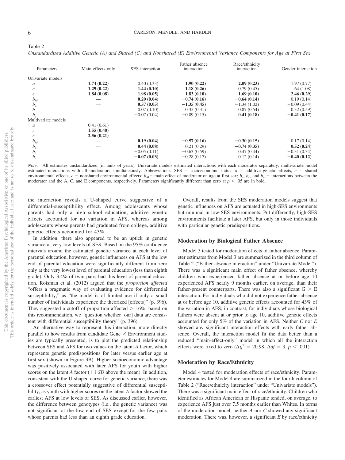Table 2

| Parameters          | Main effects only | SES interaction | Father absence<br>interaction | Race/ethnicity<br>interaction | Gender interaction |
|---------------------|-------------------|-----------------|-------------------------------|-------------------------------|--------------------|
| Univariate models   |                   |                 |                               |                               |                    |
| a                   | 1.74(0.22)        | 0.40(0.33)      | 1.90(0.22)                    | 2.09(0.23)                    | 1.97(0.77)         |
| $\mathcal{C}$       | 1.29(0.22)        | 1.44(0.10)      | 1.18(0.26)                    | 0.79(0.45)                    | .64(1.08)          |
| e                   | 1.84(0.08)        | 1.98(0.05)      | 1.83(0.10)                    | 1.69(0.10)                    | 2.46(0.29)         |
| $b_M$               |                   | 0.20(0.04)      | $-0.74(0.16)$                 | $-0.64(0.14)$                 | 0.19(0.14)         |
| $b_{\rm a}$         |                   | 0.57(0.05)      | $-1.35(0.45)$                 | $-1.34(1.02)$                 | $-0.09(0.44)$      |
| $b_{\rm c}$         |                   | 0.07(0.10)      | 0.35(0.31)                    | 0.87(0.54)                    | 0.32(0.59)         |
| $b_{\epsilon}$      |                   | $-0.07(0.04)$   | $-0.09(0.15)$                 | 0.41(0.18)                    | $-0.41(0.17)$      |
| Multivariate models |                   |                 |                               |                               |                    |
| $\boldsymbol{a}$    | 0.41(0.61)        |                 |                               |                               |                    |
| $\mathcal{C}$       | 1.55(0.40)        |                 |                               |                               |                    |
| $\mathcal{C}$       | 2.56(0.21)        |                 |                               |                               |                    |
| $b_M$               |                   | 0.19(0.04)      | $-0.57(0.16)$                 | $-0.30(0.15)$                 | 0.17(0.14)         |
| $b_{\rm a}$         |                   | 0.44(0.08)      | 0.21(0.29)                    | $-0.74(0.35)$                 | 0.52(0.24)         |
| $b_{\rm c}$         |                   | $-0.05(0.11)$   | $-0.63(0.59)$                 | 0.47(0.44)                    | $-0.31(0.34)$      |
| $b_{\rm e}$         |                   | $-0.07(0.03)$   | $-0.28(0.17)$                 | 0.12(0.14)                    | $-0.40(0.12)$      |

*Unstandardized Additive Genetic (A) and Shared (C) and Nonshared (E) Environmental Variance Components for Age at First Sex*

*Note*. All estimates unstandardized (in units of years). Univariate models estimated interactions with each moderator separately; multivariate model estimated interactions with all moderators simultaneously. Abbreviations: SES = socioeconomic status;  $a$  = additive genetic effects,  $c$  = shared environmental effects,  $e =$  nonshared environmental effects;  $b_M$  main effect of moderator on age at first sex;  $b_a$ ,  $b_c$ , and  $b_e$  = interactions between the moderator and the A, C, and E components, respectively. Parameters significantly different than zero at  $p < .05$  are in bold.

the interaction reveals a U-shaped curve suggestive of a differential-susceptibility effect. Among adolescents whose parents had only a high school education, additive genetic effects accounted for no variation in AFS, whereas among adolescents whose parents had graduated from college, additive genetic effects accounted for 43%.

In addition, there also appeared to be an uptick in genetic variance at very low levels of SES. Based on the 95% confidence intervals around the estimated genetic variance at each level of parental education, however, genetic influences on AFS at the low end of parental education were significantly different from zero only at the very lowest level of parental education (less than eighth grade). Only 3.4% of twin pairs had this level of parental education. Roisman et al. (2012) argued that the *proportion affected* "offers a pragmatic way of evaluating evidence for differential susceptibility," as "the model is of limited use if only a small number of individuals experience the theorized [effects]" (p. 396). They suggested a cutoff of proportion affected  $> 16\%$ ; based on this recommendation, we "question whether [our] data are consistent with differential susceptibility theory" (p. 396).

An alternative way to represent this interaction, more directly parallel to how results from candidate Gene  $\times$  Environment studies are typically presented, is to plot the predicted relationship between SES and AFS for two values on the latent *A* factor, which represents genetic predispositions for later versus earlier age at first sex (shown in Figure 3B). Higher socioeconomic advantage was positively associated with later AFS for youth with higher scores on the latent *A* factor  $(+1 SD)$  above the mean). In addition, consistent with the U-shaped curve for genetic variance, there was a crossover effect potentially suggestive of differential susceptibility, as youth with higher scores on the latent *A* factor showed the earliest AFS at low levels of SES. As discussed earlier, however, the difference between genotypes (i.e., the genetic variance) was not significant at the low end of SES except for the few pairs whose parents had less than an eighth grade education.

Overall, results from the SES moderation models suggest that genetic influences on AFS are actuated in high-SES environments but minimal in low-SES environments. Put differently, high-SES environments facilitate a later AFS, but only in those individuals with particular genetic predispositions.

#### **Moderation by Biological Father Absence**

Model 3 tested for moderation effects of father absence. Parameter estimates from Model 3 are summarized in the third column of Table 2 ("Father absence interaction" under "Univariate Model"). There was a significant main effect of father absence, whereby children who experienced father absence at or before age 10 experienced AFS nearly 9 months earlier, on average, than their father-present counterparts. There was also a significant  $G \times E$ interaction. For individuals who did not experience father absence at or before age 10, additive genetic effects accounted for 43% of the variation in AFS; in contrast, for individuals whose biological fathers were absent at or prior to age 10, additive genetic effects accounted for only 5% of the variation in AFS. Neither *C* nor *E* showed any significant interaction effects with early father absence. Overall, the interaction model fit the data better than a reduced "main-effect-only" model in which all the interaction effects were fixed to zero ( $\Delta \chi^2 = 20.98$ ,  $\Delta df = 3$ ,  $p < .001$ ).

#### **Moderation by Race/Ethnicity**

Model 4 tested for moderation effects of race/ethnicity. Parameter estimates for Model 4 are summarized in the fourth column of Table 2 ("Race/ethnicity interaction" under "Univariate models"). There was a significant main effect of race/ethnicity. Children who identified as African American or Hispanic tended, on average, to experience AFS just over 7.5 months earlier than Whites. In terms of the moderation model, neither *A* nor *C* showed any significant moderation. There was, however, a significant *E* by race/ethnicity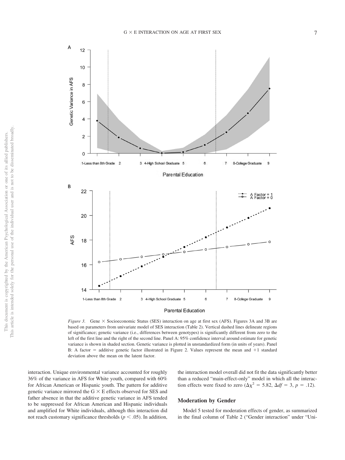

*Figure 3.* Gene  $\times$  Socioeconomic Status (SES) interaction on age at first sex (AFS). Figures 3A and 3B are based on parameters from univariate model of SES interaction (Table 2). Vertical dashed lines delineate regions of significance; genetic variance (i.e., differences between genotypes) is significantly different from zero to the left of the first line and the right of the second line. Panel A: 95% confidence interval around estimate for genetic variance is shown in shaded section. Genetic variance is plotted in unstandardized form (in units of years). Panel B: A factor  $=$  additive genetic factor illustrated in Figure 2. Values represent the mean and  $+1$  standard deviation above the mean on the latent factor.

interaction. Unique environmental variance accounted for roughly 36% of the variance in AFS for White youth, compared with 60% for African American or Hispanic youth. The pattern for additive genetic variance mirrored the  $G \times E$  effects observed for SES and father absence in that the additive genetic variance in AFS tended to be suppressed for African American and Hispanic individuals and amplified for White individuals, although this interaction did not reach customary significance thresholds ( $p < .05$ ). In addition, the interaction model overall did not fit the data significantly better than a reduced "main-effect-only" model in which all the interaction effects were fixed to zero ( $\Delta \chi^2 = 5.82$ ,  $\Delta df = 3$ ,  $p = .12$ ).

#### **Moderation by Gender**

Model 5 tested for moderation effects of gender, as summarized in the final column of Table 2 ("Gender interaction" under "Uni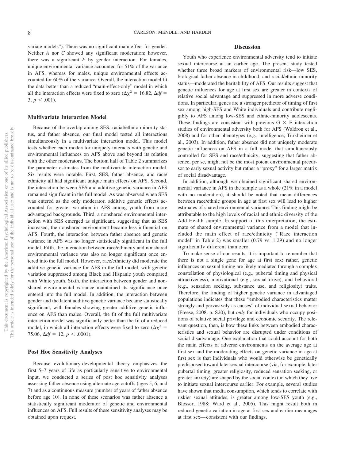variate models"). There was no significant main effect for gender. Neither *A* nor *C* showed any significant moderation; however, there was a significant *E* by gender interaction. For females, unique environmental variance accounted for 51% of the variance in AFS, whereas for males, unique environmental effects accounted for 60% of the variance. Overall, the interaction model fit the data better than a reduced "main-effect-only" model in which all the interaction effects were fixed to zero ( $\Delta \chi^2 = 16.82$ ,  $\Delta df =$  $3, p \lt .001$ ).

#### **Multivariate Interaction Model**

Because of the overlap among SES, racial/ethnic minority status, and father absence, our final model tested all interactions simultaneously in a multivariate interaction model. This model tests whether each moderator uniquely interacts with genetic and environmental influences on AFS above and beyond its relation with the other moderators. The bottom half of Table 2 summarizes the parameter estimates from the multivariate interaction model. Six results were notable. First, SES, father absence, and race/ ethnicity all had significant unique main effects on AFS. Second, the interaction between SES and additive genetic variance in AFS remained significant in the full model. As was observed when SES was entered as the only moderator, additive genetic effects accounted for greater variation in AFS among youth from more advantaged backgrounds. Third, a nonshared environmental interaction with SES emerged as significant, suggesting that as SES increased, the nonshared environment became less influential on AFS. Fourth, the interaction between father absence and genetic variance in AFS was no longer statistically significant in the full model. Fifth, the interaction between race/ethnicity and nonshared environmental variance was also no longer significant once entered into the full model. However, race/ethnicity did moderate the additive genetic variance for AFS in the full model, with genetic variation suppressed among Black and Hispanic youth compared with White youth. Sixth, the interaction between gender and nonshared environmental variance maintained its significance once entered into the full model. In addition, the interaction between gender and the latent additive genetic variance became statistically significant, with females showing greater additive genetic influence on AFS than males. Overall, the fit of the full multivariate interaction model was significantly better than the fit of a reduced model, in which all interaction effects were fixed to zero  $(\Delta \chi^2$  = 75.06,  $\Delta df = 12$ ,  $p < .0001$ ).

#### **Post Hoc Sensitivity Analyses**

Because evolutionary-developmental theory emphasizes the first 5–7 years of life as particularly sensitive to environmental input, we conducted a series of post hoc sensitivity analyses assessing father absence using alternate age cutoffs (ages 5, 6, and 7) and as a continuous measure (number of years of father absence before age 10). In none of these scenarios was father absence a statistically significant moderator of genetic and environmental influences on AFS. Full results of these sensitivity analyses may be obtained upon request.

#### **Discussion**

Youth who experience environmental adversity tend to initiate sexual intercourse at an earlier age. The present study tested whether three broad markers of environmental risk—low SES, biological father absence in childhood, and racial/ethnic minority status—moderated the heritability of AFS. Our results suggest that genetic influences for age at first sex are greater in contexts of relative social advantage and suppressed in more adverse conditions. In particular, genes are a stronger predictor of timing of first sex among high-SES and White individuals and contribute negligibly to AFS among low-SES and ethnic-minority adolescents. These findings are consistent with previous  $G \times E$  interaction studies of environmental adversity both for AFS (Waldron et al., 2008) and for other phenotypes (e.g., intelligence; Turkheimer et al., 2003). In addition, father absence did not uniquely moderate genetic influences on AFS in a full model that simultaneously controlled for SES and race/ethnicity, suggesting that father absence, per se, might not be the most potent environmental precursor to early sexual activity but rather a "proxy" for a larger matrix of social disadvantage.

In addition, although we obtained significant shared environmental variance in AFS in the sample as a whole (21% in a model with no moderation), it should be noted that mean differences between race/ethnic groups in age at first sex will lead to higher estimates of shared environmental variance. This finding might be attributable to the high levels of racial and ethnic diversity of the Add Health sample. In support of this interpretation, the estimate of shared environmental variance from a model that included the main effect of race/ethnicity ("Race interaction model" in Table 2) was smaller (0.79 vs. 1.29) and no longer significantly different than zero.

To make sense of our results, it is important to remember that there is not a single gene for age at first sex; rather, genetic influences on sexual timing are likely mediated through a complex constellation of physiological (e.g., pubertal timing and physical attractiveness), motivational (e.g., sexual drive), and behavioral (e.g., sensation seeking, substance use, and religiosity) traits. Therefore, the finding of higher genetic variance in advantaged populations indicates that these "embodied characteristics matter strongly and pervasively as causes" of individual sexual behavior (Freese, 2008, p. S20), but *only* for individuals who occupy positions of relative social privilege and economic security. The relevant question, then, is how these links between embodied characteristics and sexual behavior are disrupted under conditions of social disadvantage. One explanation that could account for both the main effects of adverse environments on the average age at first sex and the moderating effects on genetic variance in age at first sex is that individuals who would otherwise be genetically predisposed toward later sexual intercourse (via, for example, later pubertal timing, greater religiosity, reduced sensation seeking, or greater anxiety) are shaped by the social context in which they live to initiate sexual intercourse earlier. For example, several studies have shown that media consumption, which tends to correlate with riskier sexual attitudes, is greater among low-SES youth (e.g., Blosser, 1988; Ward et al., 2005). This might result both in reduced genetic variation in age at first sex and earlier mean ages at first sex— consistent with our findings.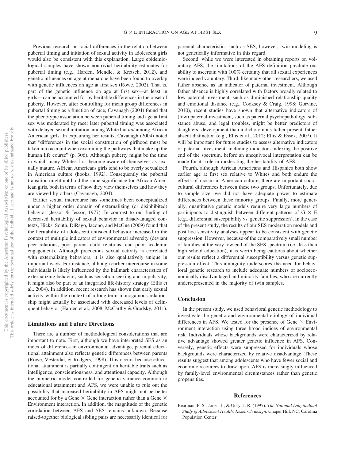Previous research on racial differences in the relation between pubertal timing and initiation of sexual activity in adolescent girls would also be consistent with this explanation. Large epidemiological samples have shown nontrivial heritability estimates for pubertal timing (e.g., Harden, Mendle, & Kretsch, 2012), and genetic influences on age at menarche have been found to overlap with genetic influences on age at first sex (Rowe, 2002). That is, part of the genetic influence on age at first sex—at least in girls— can be accounted for by heritable differences in the onset of puberty. However, after controlling for mean group differences in pubertal timing as a function of race, Cavanagh (2004) found that the phenotypic association between pubertal timing and age at first sex was moderated by race: later pubertal timing was associated with delayed sexual initiation among White but *not* among African American girls. In explaining her results, Cavanagh (2004) noted that "differences in the social construction of girlhood must be taken into account when examining the pathways that make up the human life course" (p. 306). Although puberty might be the time in which many Whites first become aware of themselves as sexually mature, African Americans girls tend to be overly sexualized in American culture (hooks, 1992). Consequently the pubertal transition might not hold the same significance for African American girls, both in terms of how they view themselves and how they are viewed by others (Cavanagh, 2004).

Earlier sexual intercourse has sometimes been conceptualized under a higher order domain of externalizing (or disinhibited) behavior (Jessor & Jessor, 1977). In contrast to our finding of decreased heritability of sexual behavior in disadvantaged contexts, Hicks, South, DiRago, Iacono, and McGue (2009) found that the heritability of adolescent antisocial behavior increased in the context of multiple indicators of environmental adversity (deviant peer relations, poor parent– child relations, and poor academic engagement). Although precocious sexual activity is correlated with externalizing behaviors, it is also qualitatively unique in important ways. For instance, although earlier intercourse in some individuals is likely influenced by the hallmark characteristics of externalizing behavior, such as sensation seeking and impulsivity, it might also be part of an integrated life-history strategy (Ellis et al., 2004). In addition, recent research has shown that early sexual activity within the context of a long-term monogamous relationship might actually be associated with decreased levels of delinquent behavior (Harden et al., 2008; McCarthy & Grodsky, 2011).

#### **Limitations and Future Directions**

There are a number of methodological considerations that are important to note. First, although we have interpreted SES as an index of differences in environmental advantage, parental educational attainment also reflects genetic differences between parents (Rowe, Vesterdal, & Rodgers, 1998). This occurs because educational attainment is partially contingent on heritable traits such as intelligence, conscientiousness, and attentional capacity. Although the biometric model controlled for genetic variance common to educational attainment and AFS, we were unable to rule out the possibility that increased heritability in AFS might not be better accounted for by a Gene  $\times$  Gene interaction rather than a Gene  $\times$ Environment interaction. In addition, the magnitude of the genetic correlation between AFS and SES remains unknown. Because raised-together biological sibling pairs are necessarily identical for

parental characteristics such as SES, however, twin modeling is not genetically informative in this regard.

Second, while we were interested in obtaining reports on voluntary AFS, the limitations of the AFS definition preclude our ability to ascertain with 100% certainty that all sexual experiences were indeed voluntary. Third, like many other researchers, we used father absence as an indicator of paternal investment. Although father absence is highly correlated with factors broadly related to low paternal investment, such as diminished relationship quality and emotional distance (e.g., Cooksey & Craig, 1998; Gorvine, 2010), recent studies have shown that alternative indicators of (low) paternal investment, such as paternal psychopathology, substance abuse, and legal troubles, might be better predictors of daughters' development than a dichotomous father present–father absent distinction (e.g., Ellis et al., 2012; Ellis & Essex, 2007). It will be important for future studies to assess alternative indicators of paternal investment, including indicators indexing the positive end of the spectrum, before an unequivocal interpretation can be made for its role in moderating the heritability of AFS.

Fourth, although African Americans and Hispanics both show earlier age at first sex relative to Whites and both endure the effects of racism in American culture, there are important sociocultural differences between these two groups. Unfortunately, due to sample size, we did not have adequate power to estimate differences between these minority groups. Finally, more generally, quantitative genetic models require very large numbers of participants to distinguish between different patterns of  $G \times E$ (e.g., differential susceptibility vs. genetic suppression). In the case of the present study, the results of our SES moderation models and post hoc sensitivity analyses appear to be consistent with genetic suppression. However, because of the comparatively small number of families at the very low end of the SES spectrum (i.e., less than high school education), it is worth being cautious about whether our results reflect a differential susceptibility versus genetic suppression effect. This ambiguity underscores the need for behavioral genetic research to include adequate numbers of socioeconomically disadvantaged and minority families, who are currently underrepresented in the majority of twin samples.

#### **Conclusion**

In the present study, we used behavioral genetic methodology to investigate the genetic and environmental etiology of individual differences in AFS. We tested for the presence of Gene  $\times$  Environment interaction using three broad indices of environmental risk. Individuals whose backgrounds were characterized by relative advantage showed greater genetic influence in AFS. Conversely, genetic effects were suppressed for individuals whose backgrounds were characterized by relative disadvantage. These results suggest that among adolescents who have fewer social and economic resources to draw upon, AFS is increasingly influenced by family-level environmental circumstances rather than genetic propensities.

#### **References**

Bearman, P. S., Jones, J., & Udry, J. R. (1997). *The National Longitudinal Study of Adolescent Health: Research design*. Chapel Hill, NC: Carolina Population Center.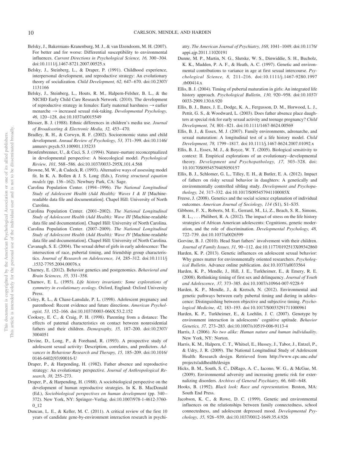- Belsky, J., Bakermans-Kranenburg, M. J., & van IJzendoorn, M. H. (2007). For better and for worse: Differential susceptibility to environmental influences. *Current Directions in Psychological Science, 16,* 300 –304. doi:10.1111/j.1467-8721.2007.00525.x
- Belsky, J., Steinberg, L., & Draper, P. (1991). Childhood experience, interpersonal development, and reproductive strategy: An evolutionary theory of socialization. *Child Development, 62, 647-670.* doi:10.2307/ 1131166
- Belsky, J., Steinberg, L., Houts, R. M., Halpern-Felsher, B. L., & the NICHD Early Child Care Research Network. (2010). The development of reproductive strategy in females: Early maternal harshness  $\rightarrow$  earlier menarche ¡ increased sexual risk-taking. *Developmental Psychology, 46,* 120 –128. doi:10.1037/a0015549
- Blosser, B. J. (1988). Ethnic differences in children's media use. *Journal of Broadcasting & Electronic Media, 32,* 453– 470.
- Bradley, R. H., & Corwyn, R. F. (2002). Socioeonomic status and child development. *Annual Review of Psychology, 53,* 371–399. doi:10.1146/ annurev.psych.53.100901.135233
- Bronfenbrenner, U., & Ceci, S. J. (1994). Nature–nurture reconceptualized in developmental perspective: A bioecological model. *Psychological Review, 101,* 568 –586. doi:10.1037/0033-295X.101.4.568
- Browne, M. W., & Cudeck, R. (1993). Alternative ways of assessing model fit. In K. A. Bollen & J. S. Long (Eds.), *Testing structural equation* models (pp. 136-162). Newbury Park, CA: Sage.
- Carolina Population Center. (1994 –1996). *The National Longitudinal Study of Adolescent Health (Add Health): Waves I & II* [Machinereadable data file and documentation]. Chapel Hill: University of North Carolina.
- Carolina Population Center. (2001–2002). *The National Longitudinal Study of Adolescent Health (Add Health): Wave III* [Machine-readable data file and documentation]. Chapel Hill: University of North Carolina.
- Carolina Population Center. (2007–2009). *The National Longitudinal Study of Adolescent Health (Add Health): Wave IV* [Machine-readable data file and documentation]. Chapel Hill: University of North Carolina.
- Cavanagh, S. E. (2004). The sexual debut of girls in early adolescence: The intersection of race, pubertal timing, and friendship group characteristics. *Journal of Research on Adolescence, 14,* 285–312. doi:10.1111/j .1532-7795.2004.00076.x
- Charney, E. (2012). Behavior genetics and postgenomics. *Behavioral and Brain Sciences, 35,* 331–358.
- Charnov, E. L. (1993). *Life history invariants: Some explorations of symmetry in evolutionary ecology*. Oxford, England: Oxford University Press.
- Coley, R. L., & Chase-Lansdale, P. L. (1998). Adolescent pregnancy and parenthood: Recent evidence and future directions. *American Psychologist, 53,* 152–166. doi:10.1037/0003-066X.53.2.152
- Cooksey, E. C., & Craig, P. H. (1998). Parenting from a distance: The effects of paternal characteristics on contact between nonresidential fathers and their children. *Demography, 35,* 187–200. doi:10.2307/ 3004051
- Devine, D., Long, P., & Forehand, R. (1993). A prospective study of adolescent sexual activity: Description, correlates, and predictors. *Advances in Behaviour Research and Therapy, 15,* 185–209. doi:10.1016/ 0146-6402(93)90016-U
- Draper, P., & Harpending, H. (1982). Father absence and reproductive strategy: An evolutionary perspective. *Journal of Anthropological Research, 38,* 255–273.
- Draper, P., & Harpending, H. (1988). A sociobiological perspective on the development of human reproductive strategies. In K. B. MacDonald (Ed.), *Sociobiological perspectives on human development* (pp. 340 – 372). New York, NY: Springer–Verlag. doi:10.1007/978-1-4612-3760- 0\_12
- Duncan, L. E., & Keller, M. C. (2011). A critical review of the first 10 years of candidate gene-by-environment interaction research in psychi-

atry. *The American Journal of Psychiatry, 168,* 1041–1049. doi:10.1176/ appi.ajp.2011.11020191

- Dunne, M. P., Martin, N. G., Slutske, W. S., Dinwiddie, S. H., Bucholz, K. K., Madden, P. A. F., & Heath, A. C. (1997). Genetic and environmental contributions to variance in age at first sexual intercourse. *Psychological Science, 8,* 211–216. doi:10.1111/j.1467-9280.1997 .tb00414.x
- Ellis, B. J. (2004). Timing of pubertal maturation in girls: An integrated life history approach. *Psychological Bulletin, 130,* 920 –958. doi:10.1037/ 0033-2909.130.6.920
- Ellis, B. J., Bates, J. E., Dodge, K. A., Fergusson, D. M., Horwood, L. J., Pettit, G. S., & Woodward, L. (2003). Does father absence place daughters at special risk for early sexual activity and teenage pregnancy? *Child Development, 74,* 801– 821. doi:10.1111/1467-8624.00569
- Ellis, B. J., & Essex, M. J. (2007). Family environments, adrenarche, and sexual maturation: A longitudinal test of a life history model. *Child Development, 78,* 1799 –1817. doi:10.1111/j.1467-8624.2007.01092.x
- Ellis, B. J., Essex, M. J., & Boyce, W. T. (2005). Biological sensitivity to context: II. Empirical explorations of an evolutionary– developmental theory. *Development and Psychopathology, 17,* 303–328. doi: 10.10170S0954579405050157
- Ellis, B. J., Schlomer, G. L., Tilley, E. H., & Butler, E. A. (2012). Impact of fathers on risky sexual behavior in daughters: A genetically and environmentally controlled sibling study. *Development and Psychopathology, 24,* 317–332. doi:10.1017/S095457941100085X
- Freese, J. (2008). Genetics and the social science explanation of individual outcomes. *American Journal of Sociology, 114* (S1), S1–S35.
- Gibbons, F. X., Roberts, M. E., Gerrard, M., Li, Z., Beach, S. R., Simons, R. L., . . . Philibert, R. A. (2012). The impact of stress on the life history strategies of African American adolescents: Cognitions, genetic moderation, and the role of discrimination. *Developmental Psychology, 48,* 722–739. doi:10.1037/a0026599
- Gorvine, B. J. (2010). Head Start fathers' involvement with their children. *Journal of Family Issues, 31,* 90 –112. doi:10.1177/0192513X09342860
- Harden, K. P. (2013). Genetic influences on adolescent sexual behavior: Why genes matter for environmentally oriented researchers. *Psychological Bulletin*. Advance online publication. doi:10.1037/a0033564
- Harden, K. P., Mendle, J., Hill, J. E., Turkheimer, E., & Emery, R. E. (2008). Rethinking timing of first sex and delinquency. *Journal of Youth and Adolescence, 37,* 373–385. doi:10.1007/s10964-007-9228-9
- Harden, K. P., Mendle, J., & Kretsch, N. (2012). Environmental and genetic pathways between early pubertal timing and dieting in adolescence: Distinguishing between objective and subjective timing. *Psychological Medicine, 42,* 183–193. doi:10.1017/S0033291711000961
- Harden, K. P., Turkheimer, E., & Loehlin, J. C. (2007). Genotype by environment interaction in adolescents' cognitive aptitude. *Behavior Genetics, 37,* 273–283. doi:10.1007/s10519-006-9113-4
- Harris, J. (2006). *No two alike: Human nature and human individuality*. New York, NY: Norton.
- Harris, K. M., Halpern, C. T., Whitsel, E., Hussey, J., Tabor, J., Entzel, P., & Udry, J. R. (2009). The National Longitudinal Study of Adolescent Health: Research design. Retrieved from http://www.cpc.unc.edu/ projects/addhealth/design
- Hicks, B. M., South, S. C., DiRago, A. C., Iacono, W. G., & McGue, M. (2009). Environmental adversity and increasing genetic risk for externalizing disorders. Archives of General Psychiatry, 66, 640-648.
- Hooks, B. (1992). *Black look: Race and representation*. Boston, MA: South End Press.
- Jacobson, K. C., & Rowe, D. C. (1999). Genetic and environmental influences on the relationships between family connectedness, school connectedness, and adolescent depressed mood. *Developmental Psychology, 35,* 926 –939. doi:10.1037/0012-1649.35.4.926